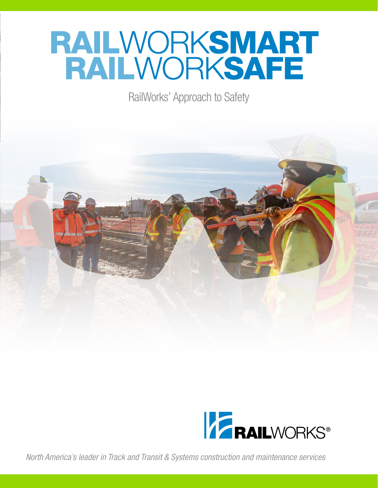# **RAILWORKSMART<br>RAILWORKSAFE**

RailWorks' Approach to Safety





*North America's leader in Track and Transit & Systems construction and maintenance services*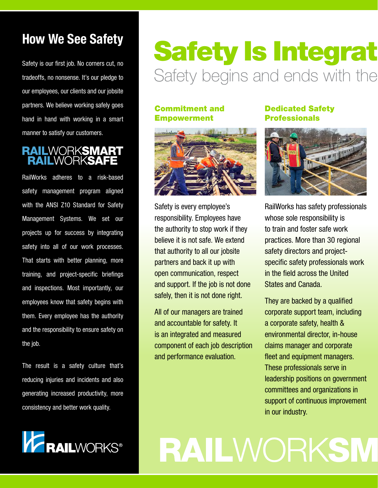### **How We See Safety**

Safety is our first job. No corners cut, no tradeoffs, no nonsense. It's our pledge to our employees, our clients and our jobsite partners. We believe working safely goes hand in hand with working in a smart manner to satisfy our customers.

### **RAILWORKSMART<br>RAILWORKSAFE**

RailWorks adheres to a risk-based safety management program aligned with the ANSI Z10 Standard for Safety Management Systems. We set our projects up for success by integrating safety into all of our work processes. That starts with better planning, more training, and project-specific briefings and inspections. Most importantly, our employees know that safety begins with them. Every employee has the authority and the responsibility to ensure safety on the job.

The result is a safety culture that's reducing injuries and incidents and also generating increased productivity, more consistency and better work quality.



### **Safety Is Integrat** Safety begins and ends with the

#### Commitment and Empowerment



Safety is every employee's responsibility. Employees have the authority to stop work if they believe it is not safe. We extend that authority to all our jobsite partners and back it up with open communication, respect and support. If the job is not done safely, then it is not done right.

All of our managers are trained and accountable for safety. It is an integrated and measured component of each job description and performance evaluation.

### Dedicated Safety Professionals



RailWorks has safety professionals whose sole responsibility is to train and foster safe work practices. More than 30 regional safety directors and projectspecific safety professionals work in the field across the United States and Canada.

They are backed by a qualified corporate support team, including a corporate safety, health & environmental director, in-house claims manager and corporate fleet and equipment managers. These professionals serve in leadership positions on government committees and organizations in support of continuous improvement in our industry.

**RAILWORKSM**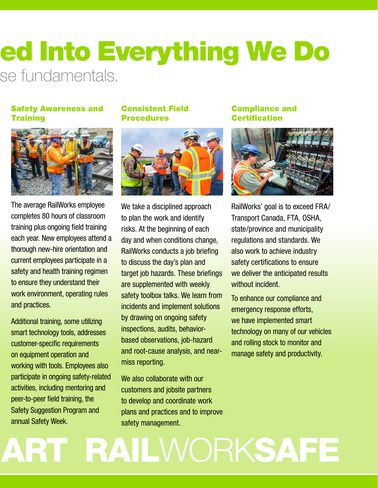### ed Into Everything We Do se fundamentals.

#### Safety Awareness and **Training**



The average RailWorks employee completes 80 hours of classroom training plus ongoing field training each year. New employees attend a thorough new-hire orientation and current employees participate in a safety and health training regimen to ensure they understand their work environment, operating rules and practices.

Additional training, some utilizing smart technology tools, addresses customer-specific requirements on equipment operation and working with tools. Employees also participate in ongoing safety-related activities, including mentoring and peer-to-peer field training, the Safety Suggestion Program and annual Safety Week.

### Consistent Field Procedures



We take a disciplined approach to plan the work and identify risks. At the beginning of each day and when conditions change, RailWorks conducts a job briefing to discuss the day's plan and target job hazards. These briefings are supplemented with weekly safety toolbox talks. We learn from incidents and implement solutions by drawing on ongoing safety inspections, audits, behaviorbased observations, job-hazard and root-cause analysis, and nearmiss reporting.

We also collaborate with our customers and jobsite partners to develop and coordinate work plans and practices and to improve safety management.

#### Compliance and **Certification**



RailWorks' goal is to exceed FRA/ Transport Canada, FTA, OSHA, state/province and municipality regulations and standards. We also work to achieve industry safety certifications to ensure we deliver the anticipated results without incident.

To enhance our compliance and emergency response efforts, we have implemented smart technology on many of our vehicles and rolling stock to monitor and manage safety and productivity.

## ART RAILWORKSAFE